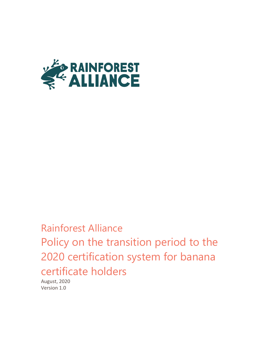

Rainforest Alliance Policy on the transition period to the 2020 certification system for banana certificate holders

August, 2020 Version 1.0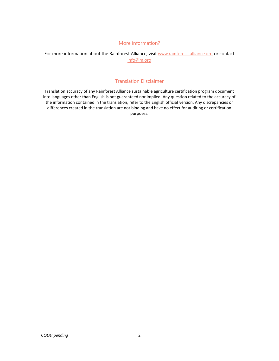#### More information?

For more information about the Rainforest Alliance, visit [www.rainforest-alliance.org](http://www.rainforest-alliance.org/) or contact [info@ra.org](mailto:info@ra.org)

#### Translation Disclaimer

Translation accuracy of any Rainforest Alliance sustainable agriculture certification program document into languages other than English is not guaranteed nor implied. Any question related to the accuracy of the information contained in the translation, refer to the English official version. Any discrepancies or differences created in the translation are not binding and have no effect for auditing or certification purposes.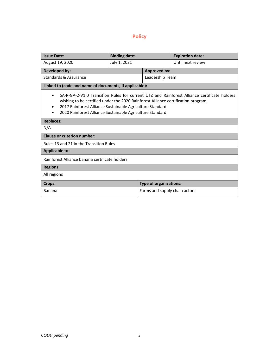# **Policy**

| <b>Issue Date:</b>                                                                                                                                                                                                                                                                                                      | <b>Binding date:</b> |                               | <b>Expiration date:</b> |
|-------------------------------------------------------------------------------------------------------------------------------------------------------------------------------------------------------------------------------------------------------------------------------------------------------------------------|----------------------|-------------------------------|-------------------------|
| August 19, 2020                                                                                                                                                                                                                                                                                                         | July 1, 2021         |                               | Until next review       |
| Developed by:                                                                                                                                                                                                                                                                                                           |                      | <b>Approved by:</b>           |                         |
| Standards & Assurance                                                                                                                                                                                                                                                                                                   |                      | Leadership Team               |                         |
| Linked to (code and name of documents, if applicable):                                                                                                                                                                                                                                                                  |                      |                               |                         |
| SA-R-GA-2-V1.0 Transition Rules for current UTZ and Rainforest Alliance certificate holders<br>$\bullet$<br>wishing to be certified under the 2020 Rainforest Alliance certification program.<br>2017 Rainforest Alliance Sustainable Agriculture Standard<br>2020 Rainforest Alliance Sustainable Agriculture Standard |                      |                               |                         |
| <b>Replaces:</b>                                                                                                                                                                                                                                                                                                        |                      |                               |                         |
| N/A                                                                                                                                                                                                                                                                                                                     |                      |                               |                         |
| <b>Clause or criterion number:</b>                                                                                                                                                                                                                                                                                      |                      |                               |                         |
| Rules 13 and 21 in the Transition Rules                                                                                                                                                                                                                                                                                 |                      |                               |                         |
| <b>Applicable to:</b>                                                                                                                                                                                                                                                                                                   |                      |                               |                         |
| Rainforest Alliance banana certificate holders                                                                                                                                                                                                                                                                          |                      |                               |                         |
| <b>Regions:</b>                                                                                                                                                                                                                                                                                                         |                      |                               |                         |
| All regions                                                                                                                                                                                                                                                                                                             |                      |                               |                         |
| Crops:                                                                                                                                                                                                                                                                                                                  |                      | <b>Type of organizations:</b> |                         |
| Banana                                                                                                                                                                                                                                                                                                                  |                      | Farms and supply chain actors |                         |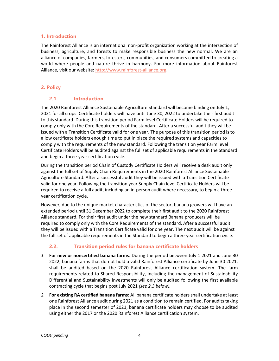### **1. Introduction**

The Rainforest Alliance is an international non-profit organization working at the intersection of business, agriculture, and forests to make responsible business the new normal. We are an alliance of companies, farmers, foresters, communities, and consumers committed to creating a world where people and nature thrive in harmony. For more information about Rainforest Alliance, visit our website: [http://www.rainforest-alliance.org.](http://www.rainforest-alliance.org/)

# **2. Policy**

### **2.1. Introduction**

The 2020 Rainforest Alliance Sustainable Agriculture Standard will become binding on July 1, 2021 for all crops. Certificate holders will have until June 30, 2022 to undertake their first audit to this standard. During this transition period Farm level Certificate Holders will be required to comply only with the Core Requirements of the standard. After a successful audit they will be issued with a Transition Certificate valid for one year. The purpose of this transition period is to allow certificate holders enough time to put in place the required systems and capacities to comply with the requirements of the new standard. Following the transition year Farm level Certificate Holders will be audited against the full set of applicable requirements in the Standard and begin a three-year certification cycle.

During the transition period Chain of Custody Certificate Holders will receive a desk audit only against the full set of Supply Chain Requirements in the 2020 Rainforest Alliance Sustainable Agriculture Standard. After a successful audit they will be issued with a Transition Certificate valid for one year. Following the transition year Supply Chain level Certificate Holders will be required to receive a full audit, including an in-person audit where necessary, to begin a threeyear certification cycle.

However, due to the unique market characteristics of the sector, banana growers will have an extended period until 31 December 2022 to complete their first audit to the 2020 Rainforest Alliance standard. For their first audit under the new standard Banana producers will be required to comply only with the Core Requirements of the standard. After a successful audit they will be issued with a Transition Certificate valid for one year. The next audit will be against the full set of applicable requirements in the Standard to begin a three-year certification cycle.

# **2.2. Transition period rules for banana certificate holders**

- *1.* **For new or noncertified banana farms**: During the period between July 1 2021 and June 30 2022, banana farms that do not hold a valid Rainforest Alliance certificate by June 30 2021, shall be audited based on the 2020 Rainforest Alliance certification system. The farm requirements related to Shared Responsibility, including the management of Sustainability Differential and Sustainability investments will only be audited following the first available contracting cycle that begins post July 2021 *(see 2.3 below).*
- *2.* **For existing RA certified banana farms:** All banana certificate holders shall undertake at least one Rainforest Alliance audit during 2021 as a condition to remain certified. For audits taking place in the second semester of 2021, banana certificate holders may choose to be audited using either the 2017 or the 2020 Rainforest Alliance certification system.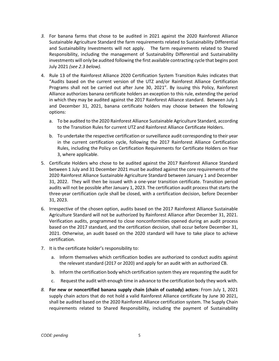- *3.* For banana farms that chose to be audited in 2021 against the 2020 Rainforest Alliance Sustainable Agriculture Standard the farm requirements related to Sustainability Differential and Sustainability Investments will not apply. The farm requirements related to Shared Responsibility, including the management of Sustainability Differential and Sustainability investments will only be audited following the first available contracting cycle that begins post July 2021 *(see 2.3 below).*
- 4. Rule 13 of the Rainforest Alliance 2020 Certification System Transition Rules indicates that "Audits based on the current version of the UTZ and/or Rainforest Alliance Certification Programs shall not be carried out after June 30, 2021". By issuing this Policy, Rainforest Alliance authorizes banana certificate holders an exception to this rule, extending the period in which they may be audited against the 2017 Rainforest Alliance standard. Between July 1 and December 31, 2021, banana certificate holders may choose between the following options:
	- a. To be audited to the 2020 Rainforest Alliance Sustainable Agriculture Standard, according to the Transition Rules for current UTZ and Rainforest Alliance Certificate Holders.
	- b. To undertake the respective certification or surveillance audit corresponding to their year in the current certification cycle, following the 2017 Rainforest Alliance Certification Rules, including the Policy on Certification Requirements for Certificate Holders on Year 3, where applicable.
- 5. Certificate Holders who chose to be audited against the 2017 Rainforest Alliance Standard between 1 July and 31 December 2021 must be audited against the core requirements of the 2020 Rainforest Alliance Sustainable Agriculture Standard between January 1 and December 31, 2022. They will then be issued with a one-year transition certificate. Transition period audits will not be possible after January 1, 2023. The certification audit process that starts the three-year certification cycle shall be closed, with a certification decision, before December 31, 2023.
- 6. Irrespective of the chosen option, audits based on the 2017 Rainforest Alliance Sustainable Agriculture Standard will not be authorized by Rainforest Alliance after December 31, 2021. Verification audits, programmed to close nonconformities opened during an audit process based on the 2017 standard, and the certification decision, shall occur before December 31, 2021. Otherwise, an audit based on the 2020 standard will have to take place to achieve certification.
- 7. It is the certificate holder's responsibility to:
	- a. Inform themselves which certification bodies are authorized to conduct audits against the relevant standard (2017 or 2020) and apply for an audit with an authorized CB.
	- b. Inform the certification body which certification system they are requesting the audit for
	- c. Request the audit with enough time in advance to the certification body they work with.
- *8.* **For new or noncertified banana supply chain (chain of custody) actors**: From July 1, 2021 supply chain actors that do not hold a valid Rainforest Alliance certificate by June 30 2021, shall be audited based on the 2020 Rainforest Alliance certification system. The Supply Chain requirements related to Shared Responsibility, including the payment of Sustainability